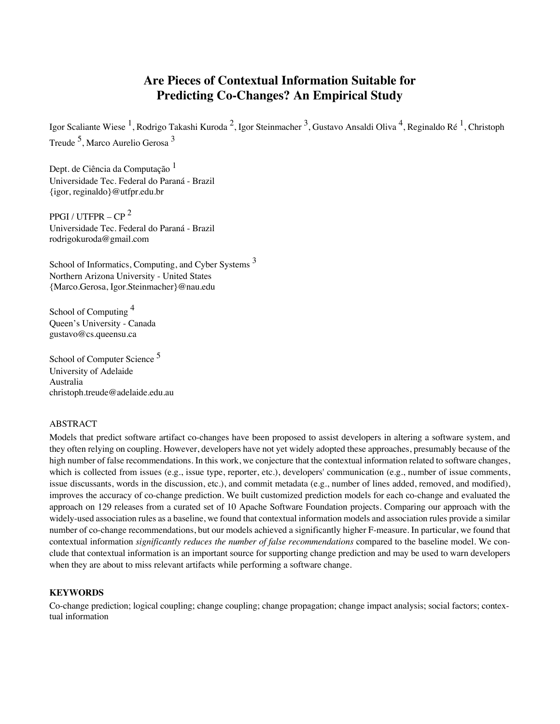# **Are Pieces of Contextual Information Suitable for Predicting Co-Changes? An Empirical Study**

Igor Scaliante Wiese  $^1$ , Rodrigo Takashi Kuroda  $^2$ , Igor Steinmacher  $^3$ , Gustavo Ansaldi Oliva  $^4$ , Reginaldo Ré  $^1$ , Christoph Treude <sup>5</sup>, Marco Aurelio Gerosa <sup>3</sup>

Dept. de Ciência da Computação 1 Universidade Tec. Federal do Paraná - Brazil {igor, reginaldo}@utfpr.edu.br

PPGI / UTFPR –  $CP<sup>2</sup>$ Universidade Tec. Federal do Paraná - Brazil rodrigokuroda@gmail.com

School of Informatics, Computing, and Cyber Systems<sup>3</sup> Northern Arizona University - United States {Marco.Gerosa, Igor.Steinmacher}@nau.edu

School of Computing  $4$ Queen's University - Canada gustavo@cs.queensu.ca

School of Computer Science<sup>5</sup> University of Adelaide Australia christoph.treude@adelaide.edu.au

# ABSTRACT

Models that predict software artifact co-changes have been proposed to assist developers in altering a software system, and they often relying on coupling. However, developers have not yet widely adopted these approaches, presumably because of the high number of false recommendations. In this work, we conjecture that the contextual information related to software changes, which is collected from issues (e.g., issue type, reporter, etc.), developers' communication (e.g., number of issue comments, issue discussants, words in the discussion, etc.), and commit metadata (e.g., number of lines added, removed, and modified), improves the accuracy of co-change prediction. We built customized prediction models for each co-change and evaluated the approach on 129 releases from a curated set of 10 Apache Software Foundation projects. Comparing our approach with the widely-used association rules as a baseline, we found that contextual information models and association rules provide a similar number of co-change recommendations, but our models achieved a significantly higher F-measure. In particular, we found that contextual information *significantly reduces the number of false recommendations* compared to the baseline model. We conclude that contextual information is an important source for supporting change prediction and may be used to warn developers when they are about to miss relevant artifacts while performing a software change.

# **KEYWORDS**

Co-change prediction; logical coupling; change coupling; change propagation; change impact analysis; social factors; contextual information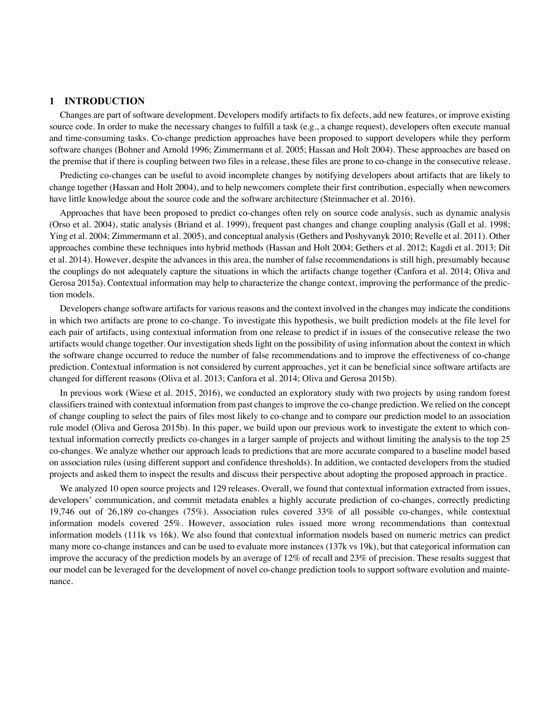## **1 INTRODUCTION**

Changes are part of software development. Developers modify artifacts to fix defects, add new features, or improve existing source code. In order to make the necessary changes to fulfill a task (e.g., a change request), developers often execute manual and time-consuming tasks. Co-change prediction approaches have been proposed to support developers while they perform software changes (Bohner and Arnold 1996; Zimmermann et al. 2005; Hassan and Holt 2004). These approaches are based on the premise that if there is coupling between two files in a release, these files are prone to co-change in the consecutive release.

Predicting co-changes can be useful to avoid incomplete changes by notifying developers about artifacts that are likely to change together (Hassan and Holt 2004), and to help newcomers complete their first contribution, especially when newcomers have little knowledge about the source code and the software architecture (Steinmacher et al. 2016).

Approaches that have been proposed to predict co-changes often rely on source code analysis, such as dynamic analysis (Orso et al. 2004), static analysis (Briand et al. 1999), frequent past changes and change coupling analysis (Gall et al. 1998; Ying et al. 2004; Zimmermann et al. 2005), and conceptual analysis (Gethers and Poshyvanyk 2010; Revelle et al. 2011). Other approaches combine these techniques into hybrid methods (Hassan and Holt 2004; Gethers et al. 2012; Kagdi et al. 2013; Dit et al. 2014). However, despite the advances in this area, the number of false recommendations is still high, presumably because the couplings do not adequately capture the situations in which the artifacts change together (Canfora et al. 2014; Oliva and Gerosa 2015a). Contextual information may help to characterize the change context, improving the performance of the prediction models.

Developers change software artifacts for various reasons and the context involved in the changes may indicate the conditions in which two artifacts are prone to co-change. To investigate this hypothesis, we built prediction models at the file level for each pair of artifacts, using contextual information from one release to predict if in issues of the consecutive release the two artifacts would change together. Our investigation sheds light on the possibility of using information about the context in which the software change occurred to reduce the number of false recommendations and to improve the effectiveness of co-change prediction. Contextual information is not considered by current approaches, yet it can be beneficial since software artifacts are changed for different reasons (Oliva et al. 2013; Canfora et al. 2014; Oliva and Gerosa 2015b).

In previous work (Wiese et al. 2015, 2016), we conducted an exploratory study with two projects by using random forest classifiers trained with contextual information from past changes to improve the co-change prediction. We relied on the concept of change coupling to select the pairs of files most likely to co-change and to compare our prediction model to an association rule model (Oliva and Gerosa 2015b). In this paper, we build upon our previous work to investigate the extent to which contextual information correctly predicts co-changes in a larger sample of projects and without limiting the analysis to the top 25 co-changes. We analyze whether our approach leads to predictions that are more accurate compared to a baseline model based on association rules (using different support and confidence thresholds). In addition, we contacted developers from the studied projects and asked them to inspect the results and discuss their perspective about adopting the proposed approach in practice.

We analyzed 10 open source projects and 129 releases. Overall, we found that contextual information extracted from issues, developers' communication, and commit metadata enables a highly accurate prediction of co-changes, correctly predicting 19,746 out of 26,189 co-changes (75%). Association rules covered 33% of all possible co-changes, while contextual information models covered 25%. However, association rules issued more wrong recommendations than contextual information models (111k vs 16k). We also found that contextual information models based on numeric metrics can predict many more co-change instances and can be used to evaluate more instances (137k vs 19k), but that categorical information can improve the accuracy of the prediction models by an average of 12% of recall and 23% of precision. These results suggest that our model can be leveraged for the development of novel co-change prediction tools to support software evolution and maintenance.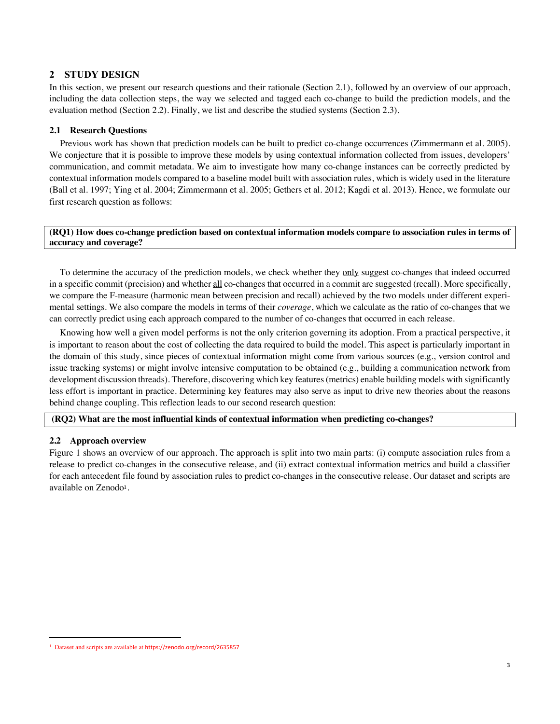# **2 STUDY DESIGN**

In this section, we present our research questions and their rationale (Section 2.1), followed by an overview of our approach, including the data collection steps, the way we selected and tagged each co-change to build the prediction models, and the evaluation method (Section 2.2). Finally, we list and describe the studied systems (Section 2.3).

# **2.1 Research Questions**

Previous work has shown that prediction models can be built to predict co-change occurrences (Zimmermann et al. 2005). We conjecture that it is possible to improve these models by using contextual information collected from issues, developers' communication, and commit metadata. We aim to investigate how many co-change instances can be correctly predicted by contextual information models compared to a baseline model built with association rules, which is widely used in the literature (Ball et al. 1997; Ying et al. 2004; Zimmermann et al. 2005; Gethers et al. 2012; Kagdi et al. 2013). Hence, we formulate our first research question as follows:

# **(RQ1) How does co-change prediction based on contextual information models compare to association rules in terms of accuracy and coverage?**

To determine the accuracy of the prediction models, we check whether they only suggest co-changes that indeed occurred in a specific commit (precision) and whether all co-changes that occurred in a commit are suggested (recall). More specifically, we compare the F-measure (harmonic mean between precision and recall) achieved by the two models under different experimental settings. We also compare the models in terms of their *coverage*, which we calculate as the ratio of co-changes that we can correctly predict using each approach compared to the number of co-changes that occurred in each release.

Knowing how well a given model performs is not the only criterion governing its adoption. From a practical perspective, it is important to reason about the cost of collecting the data required to build the model. This aspect is particularly important in the domain of this study, since pieces of contextual information might come from various sources (e.g., version control and issue tracking systems) or might involve intensive computation to be obtained (e.g., building a communication network from development discussion threads). Therefore, discovering which key features(metrics) enable building models with significantly less effort is important in practice. Determining key features may also serve as input to drive new theories about the reasons behind change coupling. This reflection leads to our second research question:

**(RQ2) What are the most influential kinds of contextual information when predicting co-changes?**

# **2.2 Approach overview**

Figure 1 shows an overview of our approach. The approach is split into two main parts: (i) compute association rules from a release to predict co-changes in the consecutive release, and (ii) extract contextual information metrics and build a classifier for each antecedent file found by association rules to predict co-changes in the consecutive release. Our dataset and scripts are available on Zenodo1.

 <sup>1</sup> Dataset and scripts are available at https://zenodo.org/record/2635857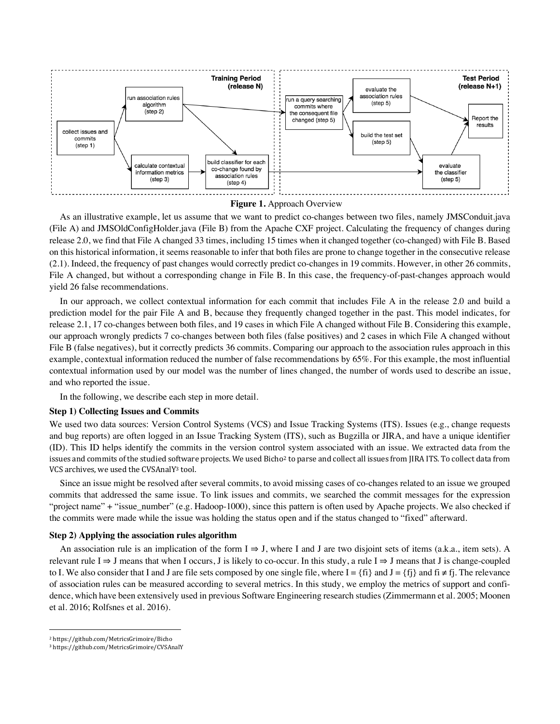

**Figure 1.** Approach Overview

As an illustrative example, let us assume that we want to predict co-changes between two files, namely JMSConduit.java (File A) and JMSOldConfigHolder.java (File B) from the Apache CXF project. Calculating the frequency of changes during release 2.0, we find that File A changed 33 times, including 15 times when it changed together (co-changed) with File B. Based on this historical information, it seems reasonable to infer that both files are prone to change together in the consecutive release (2.1). Indeed, the frequency of past changes would correctly predict co-changes in 19 commits. However, in other 26 commits, File A changed, but without a corresponding change in File B. In this case, the frequency-of-past-changes approach would yield 26 false recommendations.

In our approach, we collect contextual information for each commit that includes File A in the release 2.0 and build a prediction model for the pair File A and B, because they frequently changed together in the past. This model indicates, for release 2.1, 17 co-changes between both files, and 19 cases in which File A changed without File B. Considering this example, our approach wrongly predicts 7 co-changes between both files (false positives) and 2 cases in which File A changed without File B (false negatives), but it correctly predicts 36 commits. Comparing our approach to the association rules approach in this example, contextual information reduced the number of false recommendations by 65%. For this example, the most influential contextual information used by our model was the number of lines changed, the number of words used to describe an issue, and who reported the issue.

In the following, we describe each step in more detail.

## **Step 1) Collecting Issues and Commits**

We used two data sources: Version Control Systems (VCS) and Issue Tracking Systems (ITS). Issues (e.g., change requests and bug reports) are often logged in an Issue Tracking System (ITS), such as Bugzilla or JIRA, and have a unique identifier (ID). This ID helps identify the commits in the version control system associated with an issue. We extracted data from the issues and commits of the studied software projects. We used Bicho<sup>2</sup> to parse and collect all issues from JIRA ITS. To collect data from VCS archives, we used the CVSAnalY<sup>3</sup> tool.

Since an issue might be resolved after several commits, to avoid missing cases of co-changes related to an issue we grouped commits that addressed the same issue. To link issues and commits, we searched the commit messages for the expression "project name" + "issue number" (e.g. Hadoop-1000), since this pattern is often used by Apache projects. We also checked if the commits were made while the issue was holding the status open and if the status changed to "fixed" afterward.

#### **Step 2) Applying the association rules algorithm**

An association rule is an implication of the form  $I \Rightarrow J$ , where I and J are two disjoint sets of items (a.k.a., item sets). A relevant rule I  $\Rightarrow$  J means that when I occurs, J is likely to co-occur. In this study, a rule I  $\Rightarrow$  J means that J is change-coupled to I. We also consider that I and J are file sets composed by one single file, where I = {fi} and J = {fi} and  $f = f$ }. The relevance of association rules can be measured according to several metrics. In this study, we employ the metrics of support and confidence, which have been extensively used in previous Software Engineering research studies (Zimmermann et al. 2005; Moonen et al. 2016; Rolfsnes et al. 2016).

 <sup>2</sup> https://github.com/MetricsGrimoire/Bicho

<sup>3</sup> https://github.com/MetricsGrimoire/CVSAnalY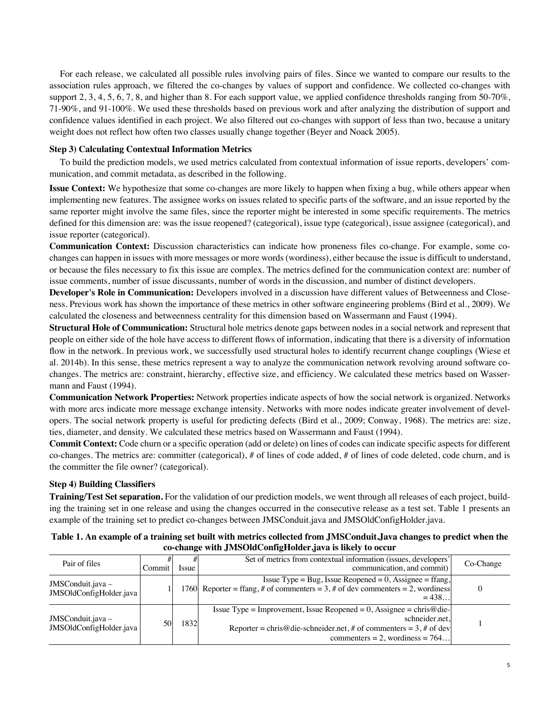For each release, we calculated all possible rules involving pairs of files. Since we wanted to compare our results to the association rules approach, we filtered the co-changes by values of support and confidence. We collected co-changes with support 2, 3, 4, 5, 6, 7, 8, and higher than 8. For each support value, we applied confidence thresholds ranging from 50-70%, 71-90%, and 91-100%. We used these thresholds based on previous work and after analyzing the distribution of support and confidence values identified in each project. We also filtered out co-changes with support of less than two, because a unitary weight does not reflect how often two classes usually change together (Beyer and Noack 2005).

#### **Step 3) Calculating Contextual Information Metrics**

To build the prediction models, we used metrics calculated from contextual information of issue reports, developers' communication, and commit metadata, as described in the following.

**Issue Context:** We hypothesize that some co-changes are more likely to happen when fixing a bug, while others appear when implementing new features. The assignee works on issues related to specific parts of the software, and an issue reported by the same reporter might involve the same files, since the reporter might be interested in some specific requirements. The metrics defined for this dimension are: was the issue reopened? (categorical), issue type (categorical), issue assignee (categorical), and issue reporter (categorical).

**Communication Context:** Discussion characteristics can indicate how proneness files co-change. For example, some cochanges can happen in issues with more messages or more words (wordiness), either because the issue is difficult to understand, or because the files necessary to fix this issue are complex. The metrics defined for the communication context are: number of issue comments, number of issue discussants, number of words in the discussion, and number of distinct developers.

**Developer's Role in Communication:** Developers involved in a discussion have different values of Betweenness and Closeness. Previous work has shown the importance of these metrics in other software engineering problems (Bird et al., 2009). We calculated the closeness and betweenness centrality for this dimension based on Wassermann and Faust (1994).

**Structural Hole of Communication:** Structural hole metrics denote gaps between nodes in a social network and represent that people on either side of the hole have access to different flows of information, indicating that there is a diversity of information flow in the network. In previous work, we successfully used structural holes to identify recurrent change couplings (Wiese et al. 2014b). In this sense, these metrics represent a way to analyze the communication network revolving around software cochanges. The metrics are: constraint, hierarchy, effective size, and efficiency. We calculated these metrics based on Wassermann and Faust (1994).

**Communication Network Properties:** Network properties indicate aspects of how the social network is organized. Networks with more arcs indicate more message exchange intensity. Networks with more nodes indicate greater involvement of developers. The social network property is useful for predicting defects (Bird et al., 2009; Conway, 1968). The metrics are: size, ties, diameter, and density. We calculated these metrics based on Wassermann and Faust (1994).

**Commit Context:** Code churn or a specific operation (add or delete) on lines of codes can indicate specific aspects for different co-changes. The metrics are: committer (categorical), # of lines of code added, # of lines of code deleted, code churn, and is the committer the file owner? (categorical).

## **Step 4) Building Classifiers**

JMSConduit.java –

JMSColdulu.java – 50 1832<br>JMSOldConfigHolder.java 50 1832

**Training/Test Set separation.** For the validation of our prediction models, we went through all releases of each project, building the training set in one release and using the changes occurred in the consecutive release as a test set. Table 1 presents an example of the training set to predict co-changes between JMSConduit.java and JMSOldConfigHolder.java.

| co-change with JMSOldConfigHolder java is likely to occur |                       |  |                                                                                                                                                               |  |  |  |  |  |  |  |
|-----------------------------------------------------------|-----------------------|--|---------------------------------------------------------------------------------------------------------------------------------------------------------------|--|--|--|--|--|--|--|
| Pair of files                                             | Commit<br><i>ssue</i> |  | Set of metrics from contextual information (issues, developers'<br>communication, and commit)                                                                 |  |  |  |  |  |  |  |
| $JMSConduit.java -$<br>JMSOldConfigHolder.java            |                       |  | Issue Type = Bug, Issue Reopened = $0$ , Assignee = ffang,<br>1760 Reporter = ffang, # of commenters = $3, \#$ of dev commenters = $2$ , wordiness<br>$= 438$ |  |  |  |  |  |  |  |
|                                                           |                       |  | Issue Type = Improvement, Issue Reopened = 0, Assignee = chris@die-                                                                                           |  |  |  |  |  |  |  |

Reporter = chris@die-schneider.net, # of commenters =  $3,$  # of dev

**Table 1. An example of a training set built with metrics collected from JMSConduit.Java changes to predict when the co-change with JMSOldConfigHolder.java is likely to occur**

1

schneider.net,

commenters  $= 2$ , wordiness  $= 764$ .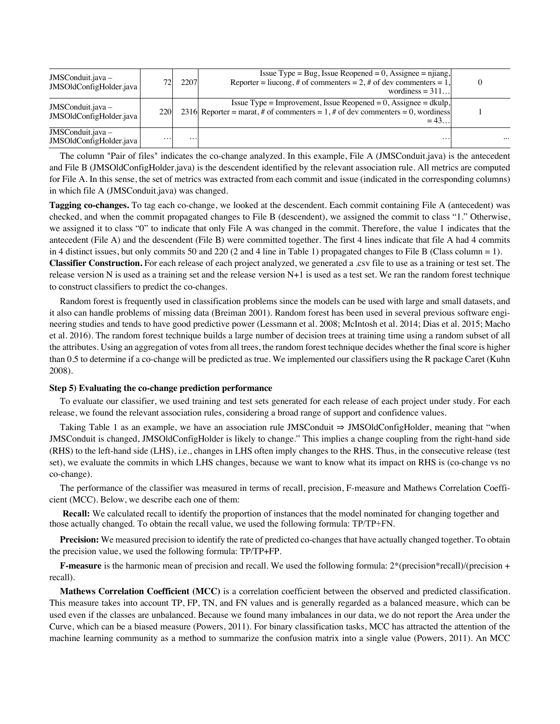| $JMSConduit.java -$<br>JMSOldConfigHolder.java | 72       | 2207 | Issue Type = Bug, Issue Reopened = 0, Assignee = $nj$ ang,<br>Reporter = liucong, # of commenters = 2, # of dev commenters = 1,<br>wordiness $= 311$             |          |
|------------------------------------------------|----------|------|------------------------------------------------------------------------------------------------------------------------------------------------------------------|----------|
| $JMSConduit.java -$<br>JMSOldConfigHolder.java | 220      |      | Issue Type = Improvement, Issue Reopened = $0$ , Assignee = dkulp,<br>2316 Reporter = marat, # of commenters = $1, #$ of dev commenters = 0, wordiness<br>$= 43$ |          |
| JMSConduit.java –<br>JMSOldConfigHolder.java   | $\cdots$ | .    | $\cdot$                                                                                                                                                          | $\cdots$ |

The column "Pair of files" indicates the co-change analyzed. In this example, File A (JMSConduit.java) is the antecedent and File B (JMSOldConfigHolder.java) is the descendent identified by the relevant association rule. All metrics are computed for File A. In this sense, the set of metrics was extracted from each commit and issue (indicated in the corresponding columns) in which file A (JMSConduit.java) was changed.

**Tagging co-changes.** To tag each co-change, we looked at the descendent. Each commit containing File A (antecedent) was checked, and when the commit propagated changes to File B (descendent), we assigned the commit to class "1." Otherwise, we assigned it to class "0" to indicate that only File A was changed in the commit. Therefore, the value 1 indicates that the antecedent (File A) and the descendent (File B) were committed together. The first 4 lines indicate that file A had 4 commits in 4 distinct issues, but only commits 50 and 220 (2 and 4 line in Table 1) propagated changes to File B (Class column = 1). **Classifier Construction.** For each release of each project analyzed, we generated a .csv file to use as a training or test set. The release version N is used as a training set and the release version  $N+1$  is used as a test set. We ran the random forest technique to construct classifiers to predict the co-changes.

Random forest is frequently used in classification problems since the models can be used with large and small datasets, and it also can handle problems of missing data (Breiman 2001). Random forest has been used in several previous software engineering studies and tends to have good predictive power (Lessmann et al. 2008; McIntosh et al. 2014; Dias et al. 2015; Macho et al. 2016). The random forest technique builds a large number of decision trees at training time using a random subset of all the attributes. Using an aggregation of votes from all trees, the random forest technique decides whether the final score is higher than 0.5 to determine if a co-change will be predicted as true. We implemented our classifiers using the R package Caret (Kuhn 2008).

#### **Step 5) Evaluating the co-change prediction performance**

To evaluate our classifier, we used training and test sets generated for each release of each project under study. For each release, we found the relevant association rules, considering a broad range of support and confidence values.

Taking Table 1 as an example, we have an association rule JMSConduit ⇒ JMSOldConfigHolder, meaning that "when JMSConduit is changed, JMSOldConfigHolder is likely to change." This implies a change coupling from the right-hand side (RHS) to the left-hand side (LHS), i.e., changes in LHS often imply changes to the RHS. Thus, in the consecutive release (test set), we evaluate the commits in which LHS changes, because we want to know what its impact on RHS is (co-change vs no co-change).

The performance of the classifier was measured in terms of recall, precision, F-measure and Mathews Correlation Coefficient (MCC). Below, we describe each one of them:

**Recall:** We calculated recall to identify the proportion of instances that the model nominated for changing together and those actually changed. To obtain the recall value, we used the following formula: TP/TP+FN.

**Precision:** We measured precision to identify the rate of predicted co-changes that have actually changed together. To obtain the precision value, we used the following formula: TP/TP+FP.

**F-measure** is the harmonic mean of precision and recall. We used the following formula:  $2*(\text{precision} * \text{recall})/(\text{precision} + \text{null})$ recall).

**Mathews Correlation Coefficient (MCC)** is a correlation coefficient between the observed and predicted classification. This measure takes into account TP, FP, TN, and FN values and is generally regarded as a balanced measure, which can be used even if the classes are unbalanced. Because we found many imbalances in our data, we do not report the Area under the Curve, which can be a biased measure (Powers, 2011). For binary classification tasks, MCC has attracted the attention of the machine learning community as a method to summarize the confusion matrix into a single value (Powers, 2011). An MCC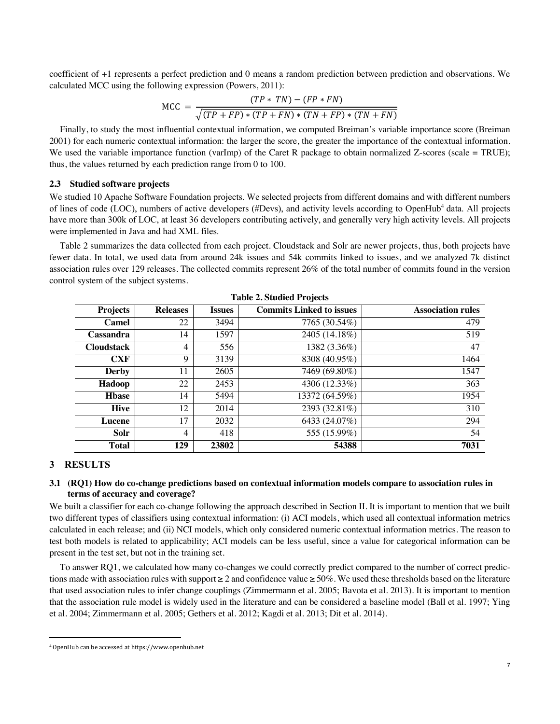coefficient of +1 represents a perfect prediction and 0 means a random prediction between prediction and observations. We calculated MCC using the following expression (Powers, 2011):

$$
\text{MCC} = \frac{(TP * TN) - (FP * FN)}{\sqrt{(TP + FP) * (TP + FN) * (TN + FP) * (TN + FN)}}
$$

Finally, to study the most influential contextual information, we computed Breiman's variable importance score (Breiman 2001) for each numeric contextual information: the larger the score, the greater the importance of the contextual information. We used the variable importance function (varImp) of the Caret R package to obtain normalized Z-scores (scale = TRUE); thus, the values returned by each prediction range from 0 to 100.

## **2.3 Studied software projects**

We studied 10 Apache Software Foundation projects. We selected projects from different domains and with different numbers of lines of code (LOC), numbers of active developers (#Devs), and activity levels according to OpenHub4 data. All projects have more than 300k of LOC, at least 36 developers contributing actively, and generally very high activity levels. All projects were implemented in Java and had XML files.

Table 2 summarizes the data collected from each project. Cloudstack and Solr are newer projects, thus, both projects have fewer data. In total, we used data from around 24k issues and 54k commits linked to issues, and we analyzed 7k distinct association rules over 129 releases. The collected commits represent 26% of the total number of commits found in the version control system of the subject systems.

| <b>Projects</b>   | <b>Releases</b> | <b>Issues</b> | <b>Commits Linked to issues</b> | <b>Association rules</b> |
|-------------------|-----------------|---------------|---------------------------------|--------------------------|
| <b>Camel</b>      | 22              | 3494          | 7765 (30.54%)                   | 479                      |
| Cassandra         | 14              | 1597          | 2405 (14.18%)                   | 519                      |
| <b>Cloudstack</b> | 4               | 556           | 1382 (3.36%)                    | 47                       |
| <b>CXF</b>        | 9               | 3139          | 8308 (40.95%)                   | 1464                     |
| <b>Derby</b>      | 11              | 2605          | 7469 (69.80%)                   | 1547                     |
| Hadoop            | 22              | 2453          | 4306 (12.33%)                   | 363                      |
| <b>H</b> base     | 14              | 5494          | 13372 (64.59%)                  | 1954                     |
| <b>Hive</b>       | 12              | 2014          | 2393 (32.81%)                   | 310                      |
| Lucene            | 17              | 2032          | 6433 (24.07%)                   | 294                      |
| Solr              | 4               | 418           | 555 (15.99%)                    | 54                       |
| <b>Total</b>      | 129             | 23802         | 54388                           | 7031                     |

**Table 2. Studied Projects**

#### **3 RESULTS**

# **3.1 (RQ1) How do co-change predictions based on contextual information models compare to association rules in terms of accuracy and coverage?**

We built a classifier for each co-change following the approach described in Section II. It is important to mention that we built two different types of classifiers using contextual information: (i) ACI models, which used all contextual information metrics calculated in each release; and (ii) NCI models, which only considered numeric contextual information metrics. The reason to test both models is related to applicability; ACI models can be less useful, since a value for categorical information can be present in the test set, but not in the training set.

To answer RQ1, we calculated how many co-changes we could correctly predict compared to the number of correct predictions made with association rules with support  $\geq 2$  and confidence value  $\geq 50\%$ . We used these thresholds based on the literature that used association rules to infer change couplings (Zimmermann et al. 2005; Bavota et al. 2013). It is important to mention that the association rule model is widely used in the literature and can be considered a baseline model (Ball et al. 1997; Ying et al. 2004; Zimmermann et al. 2005; Gethers et al. 2012; Kagdi et al. 2013; Dit et al. 2014).

<sup>&</sup>lt;sup>4</sup> OpenHub can be accessed at https://www.openhub.net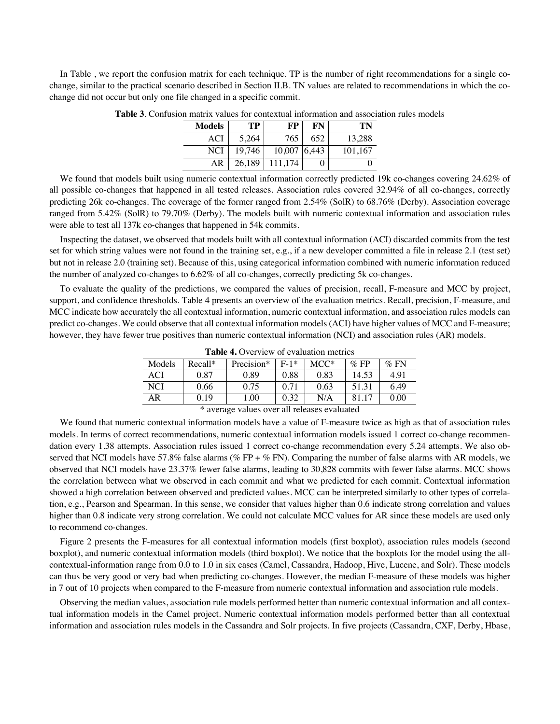In Table , we report the confusion matrix for each technique. TP is the number of right recommendations for a single cochange, similar to the practical scenario described in Section II.B. TN values are related to recommendations in which the cochange did not occur but only one file changed in a specific commit.

| Models | TP     | FP           | FN  | TN      |
|--------|--------|--------------|-----|---------|
| ACI    | 5,264  | 765          | 652 | 13,288  |
| NCI    | 19,746 | 10,007 6,443 |     | 101,167 |
| AR     | 26,189 | 111.174      |     |         |

**Table 3**. Confusion matrix values for contextual information and association rules models

We found that models built using numeric contextual information correctly predicted 19k co-changes covering 24.62% of all possible co-changes that happened in all tested releases. Association rules covered 32.94% of all co-changes, correctly predicting 26k co-changes. The coverage of the former ranged from 2.54% (SolR) to 68.76% (Derby). Association coverage ranged from 5.42% (SolR) to 79.70% (Derby). The models built with numeric contextual information and association rules were able to test all 137k co-changes that happened in 54k commits.

Inspecting the dataset, we observed that models built with all contextual information (ACI) discarded commits from the test set for which string values were not found in the training set, e.g., if a new developer committed a file in release 2.1 (test set) but not in release 2.0 (training set). Because of this, using categorical information combined with numeric information reduced the number of analyzed co-changes to 6.62% of all co-changes, correctly predicting 5k co-changes.

To evaluate the quality of the predictions, we compared the values of precision, recall, F-measure and MCC by project, support, and confidence thresholds. Table 4 presents an overview of the evaluation metrics. Recall, precision, F-measure, and MCC indicate how accurately the all contextual information, numeric contextual information, and association rules models can predict co-changes. We could observe that all contextual information models (ACI) have higher values of MCC and F-measure; however, they have fewer true positives than numeric contextual information (NCI) and association rules (AR) models.

| Models             | Recall* | Precision* | $F-1*$ | $MCC^*$ | $\%$ FP | $\%$ FN |  |  |  |  |  |
|--------------------|---------|------------|--------|---------|---------|---------|--|--|--|--|--|
| ACI                | 0.87    | 0.89       | 0.88   | 0.83    | 14.53   | 4.91    |  |  |  |  |  |
| <b>NCI</b>         | 0.66    | 0.75       | 0.71   | 0.63    | 51.31   | 6.49    |  |  |  |  |  |
| AR                 | 0.19    | 1.00       | 0.32   | N/A     | 81.17   | 0.00    |  |  |  |  |  |
| . 11 1 .<br>. 1. 1 |         |            |        |         |         |         |  |  |  |  |  |

**Table 4.** Overview of evaluation metrics

\* average values over all releases evaluated

We found that numeric contextual information models have a value of F-measure twice as high as that of association rules models. In terms of correct recommendations, numeric contextual information models issued 1 correct co-change recommendation every 1.38 attempts. Association rules issued 1 correct co-change recommendation every 5.24 attempts. We also observed that NCI models have 57.8% false alarms (% FP + % FN). Comparing the number of false alarms with AR models, we observed that NCI models have 23.37% fewer false alarms, leading to 30,828 commits with fewer false alarms. MCC shows the correlation between what we observed in each commit and what we predicted for each commit. Contextual information showed a high correlation between observed and predicted values. MCC can be interpreted similarly to other types of correlation, e.g., Pearson and Spearman. In this sense, we consider that values higher than 0.6 indicate strong correlation and values higher than 0.8 indicate very strong correlation. We could not calculate MCC values for AR since these models are used only to recommend co-changes.

Figure 2 presents the F-measures for all contextual information models (first boxplot), association rules models (second boxplot), and numeric contextual information models (third boxplot). We notice that the boxplots for the model using the allcontextual-information range from 0.0 to 1.0 in six cases (Camel, Cassandra, Hadoop, Hive, Lucene, and Solr). These models can thus be very good or very bad when predicting co-changes. However, the median F-measure of these models was higher in 7 out of 10 projects when compared to the F-measure from numeric contextual information and association rule models.

Observing the median values, association rule models performed better than numeric contextual information and all contextual information models in the Camel project. Numeric contextual information models performed better than all contextual information and association rules models in the Cassandra and Solr projects. In five projects (Cassandra, CXF, Derby, Hbase,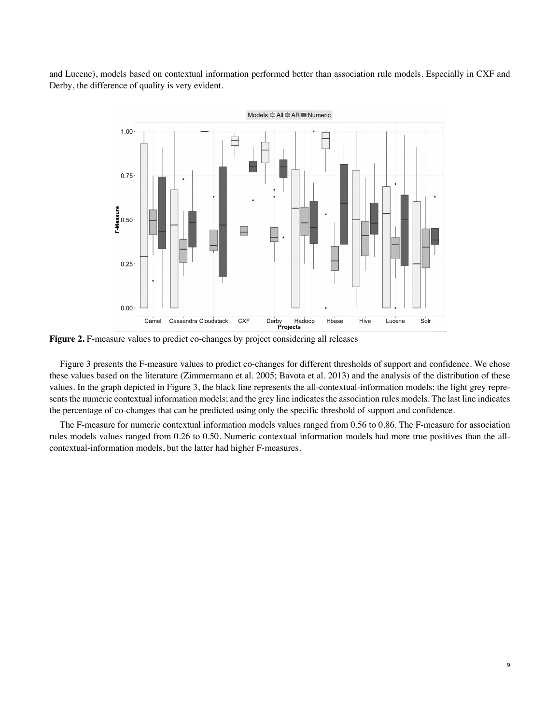and Lucene), models based on contextual information performed better than association rule models. Especially in CXF and Derby, the difference of quality is very evident.



Figure 3 presents the F-measure values to predict co-changes for different thresholds of support and confidence. We chose these values based on the literature (Zimmermann et al. 2005; Bavota et al. 2013) and the analysis of the distribution of these values. In the graph depicted in Figure 3, the black line represents the all-contextual-information models; the light grey represents the numeric contextual information models; and the grey line indicates the association rules models. The last line indicates the percentage of co-changes that can be predicted using only the specific threshold of support and confidence.

The F-measure for numeric contextual information models values ranged from 0.56 to 0.86. The F-measure for association rules models values ranged from 0.26 to 0.50. Numeric contextual information models had more true positives than the allcontextual-information models, but the latter had higher F-measures.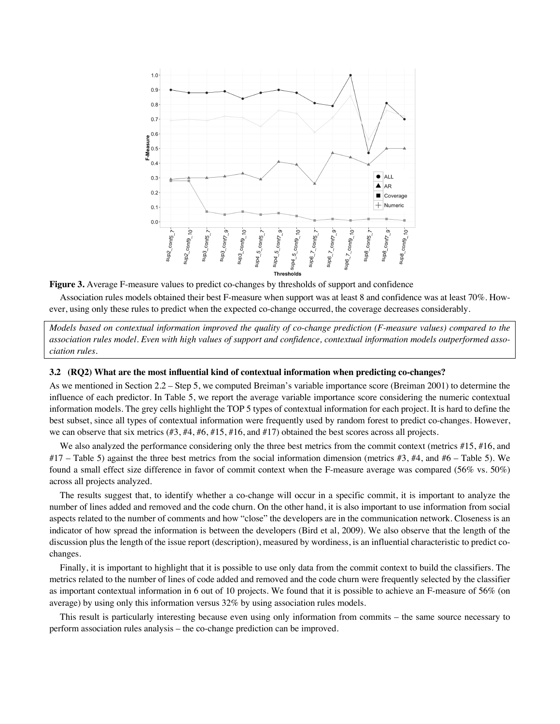

**Figure 3.** Average F-measure values to predict co-changes by thresholds of support and confidence

Association rules models obtained their best F-measure when support was at least 8 and confidence was at least 70%. However, using only these rules to predict when the expected co-change occurred, the coverage decreases considerably.

*Models based on contextual information improved the quality of co-change prediction (F-measure values) compared to the association rules model. Even with high values of support and confidence, contextual information models outperformed association rules.*

#### **3.2 (RQ2) What are the most influential kind of contextual information when predicting co-changes?**

As we mentioned in Section 2.2 – Step 5, we computed Breiman's variable importance score (Breiman 2001) to determine the influence of each predictor. In Table 5, we report the average variable importance score considering the numeric contextual information models. The grey cells highlight the TOP 5 types of contextual information for each project. It is hard to define the best subset, since all types of contextual information were frequently used by random forest to predict co-changes. However, we can observe that six metrics (#3, #4, #6, #15, #16, and #17) obtained the best scores across all projects.

We also analyzed the performance considering only the three best metrics from the commit context (metrics #15, #16, and  $#17$  – Table 5) against the three best metrics from the social information dimension (metrics  $#3, #4$ , and  $#6$  – Table 5). We found a small effect size difference in favor of commit context when the F-measure average was compared (56% vs. 50%) across all projects analyzed.

The results suggest that, to identify whether a co-change will occur in a specific commit, it is important to analyze the number of lines added and removed and the code churn. On the other hand, it is also important to use information from social aspects related to the number of comments and how "close" the developers are in the communication network. Closeness is an indicator of how spread the information is between the developers (Bird et al, 2009). We also observe that the length of the discussion plus the length of the issue report (description), measured by wordiness, is an influential characteristic to predict cochanges.

Finally, it is important to highlight that it is possible to use only data from the commit context to build the classifiers. The metrics related to the number of lines of code added and removed and the code churn were frequently selected by the classifier as important contextual information in 6 out of 10 projects. We found that it is possible to achieve an F-measure of 56% (on average) by using only this information versus 32% by using association rules models.

This result is particularly interesting because even using only information from commits – the same source necessary to perform association rules analysis – the co-change prediction can be improved.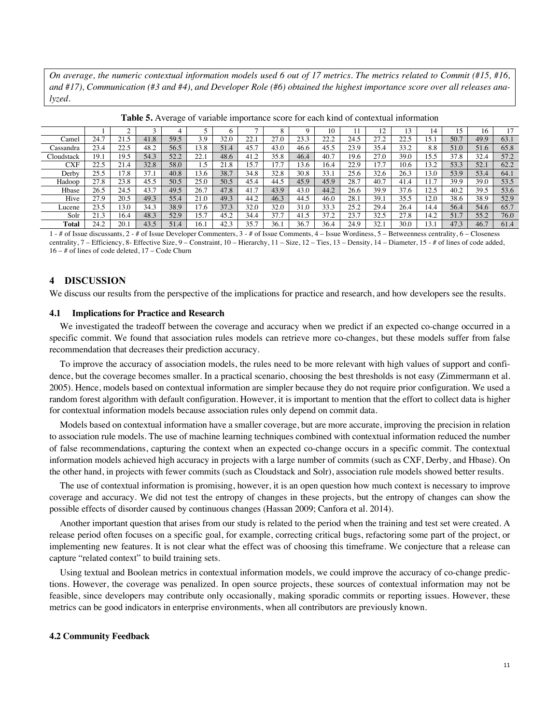*On average, the numeric contextual information models used 6 out of 17 metrics. The metrics related to Commit (#15, #16, and #17), Communication (#3 and #4), and Developer Role (#6) obtained the highest importance score over all releases analyzed.*

| <b>Table 3.</b> Twelage of variable importance score for each kind of contextual imormation |      |      |      |      |      |      |      |      |      |      |      |      |      |      |      |      |      |
|---------------------------------------------------------------------------------------------|------|------|------|------|------|------|------|------|------|------|------|------|------|------|------|------|------|
|                                                                                             |      |      |      |      |      |      |      |      |      |      |      |      |      |      |      | ١b   |      |
| Camel                                                                                       | 24.7 | 21.5 | 41.8 | 59.5 | 3.9  | 32.0 | 22.1 | 27.0 | 23.3 | 22.2 | 24.5 | 27.2 | 22.5 | 15.1 | 50.7 | 49.9 | 63.1 |
| ⊇assandra                                                                                   | 23.4 | 22.5 | 48.2 | 56.5 | 13.8 | 51.4 | 45.7 | 43.0 | 46.6 | 45.5 | 23.9 | 35.4 | 33.2 | 8.8  | 51.0 | 51.6 | 65.8 |
| Cloudstack                                                                                  | 19.1 | 19.5 | 54.3 | 52.2 | 22.1 | 48.6 | 41.2 | 35.8 | 46.4 | 40.7 | 19.6 | 27.0 | 39.0 | 15.5 | 37.8 | 32.4 | 57.2 |
| CXF                                                                                         | 22.5 | 21.4 | 32.8 | 58.0 | 1.5  | 21.8 | 15.7 | 17.7 | 13.6 | 16.4 | 22.9 | 17.7 | 10.6 | 13.2 | 53.3 | 52.1 | 62.2 |
| Derbv                                                                                       | 25.5 | 17.8 | 37.1 | 40.8 | 13.6 | 38.7 | 34.8 | 32.8 | 30.8 | 33.1 | 25.6 | 32.6 | 26.3 | 13.0 | 53.9 | 53.4 | 64.1 |
| Hadoop                                                                                      | 27.8 | 23.8 | 45.5 | 50.5 | 25.0 | 50.5 | 45.4 | 44.5 | 45.9 | 45.9 | 28.7 | 40.7 | 41.4 |      | 39.9 | 39.0 | 53.5 |
| Hbase                                                                                       | 26.5 | 24.5 | 43.7 | 49.5 | 26.7 | 47.8 | 41.7 | 43.9 | 43.0 | 44.2 | 26.6 | 39.9 | 37.6 | 12.5 | 40.2 | 39.5 | 53.6 |
| Hive                                                                                        | 27.9 | 20.5 | 49.3 | 55.4 | 21.0 | 49.3 | 44.2 | 46.3 | 44.5 | 46.0 | 28.1 | 39.1 | 35.5 | 12.0 | 38.6 | 38.9 | 52.9 |
| Lucene                                                                                      | 23.5 | 3.0  | 34.3 | 38.9 | 7.6  | 37.3 | 32.0 | 32.0 | 31.0 | 33.3 | 25.2 | 29.4 | 26.4 | 14.4 | 56.4 | 54.6 | 65.7 |
| Solr                                                                                        | 21.3 | 16.4 | 48.3 | 52.9 | 15.7 | 45.2 | 34.4 | 37.7 | 41.5 | 37.2 | 23.7 | 32.5 | 27.8 | 14.2 | 51.7 | 55.2 | 76.0 |
| Total                                                                                       | 24.2 | 20.1 | 43.5 | 51.4 | 16.1 | 42.3 | 35.7 | 36.1 | 36.7 | 36.4 | 24.9 | 32.1 | 30.0 | 13.1 | 47.3 | 46.7 | 61.4 |

**Table 5.** Average of variable importance score for each kind of contextual information

1 - # of Issue discussants, 2 - # of Issue Developer Commenters, 3 - # of Issue Comments, 4 – Issue Wordiness, 5 – Betweenness centrality, 6 – Closeness centrality, 7 – Efficiency, 8- Effective Size, 9 – Constraint, 10 – Hierarchy, 11 – Size, 12 – Ties, 13 – Density, 14 – Diameter, 15 - # of lines of code added, 16 – # of lines of code deleted, 17 – Code Churn

## **4 DISCUSSION**

We discuss our results from the perspective of the implications for practice and research, and how developers see the results.

#### **4.1 Implications for Practice and Research**

We investigated the tradeoff between the coverage and accuracy when we predict if an expected co-change occurred in a specific commit. We found that association rules models can retrieve more co-changes, but these models suffer from false recommendation that decreases their prediction accuracy.

To improve the accuracy of association models, the rules need to be more relevant with high values of support and confidence, but the coverage becomes smaller. In a practical scenario, choosing the best thresholds is not easy (Zimmermann et al. 2005). Hence, models based on contextual information are simpler because they do not require prior configuration. We used a random forest algorithm with default configuration. However, it is important to mention that the effort to collect data is higher for contextual information models because association rules only depend on commit data.

Models based on contextual information have a smaller coverage, but are more accurate, improving the precision in relation to association rule models. The use of machine learning techniques combined with contextual information reduced the number of false recommendations, capturing the context when an expected co-change occurs in a specific commit. The contextual information models achieved high accuracy in projects with a large number of commits (such as CXF, Derby, and Hbase). On the other hand, in projects with fewer commits (such as Cloudstack and Solr), association rule models showed better results.

The use of contextual information is promising, however, it is an open question how much context is necessary to improve coverage and accuracy. We did not test the entropy of changes in these projects, but the entropy of changes can show the possible effects of disorder caused by continuous changes (Hassan 2009; Canfora et al. 2014).

Another important question that arises from our study is related to the period when the training and test set were created. A release period often focuses on a specific goal, for example, correcting critical bugs, refactoring some part of the project, or implementing new features. It is not clear what the effect was of choosing this timeframe. We conjecture that a release can capture "related context" to build training sets.

Using textual and Boolean metrics in contextual information models, we could improve the accuracy of co-change predictions. However, the coverage was penalized. In open source projects, these sources of contextual information may not be feasible, since developers may contribute only occasionally, making sporadic commits or reporting issues. However, these metrics can be good indicators in enterprise environments, when all contributors are previously known.

#### **4.2 Community Feedback**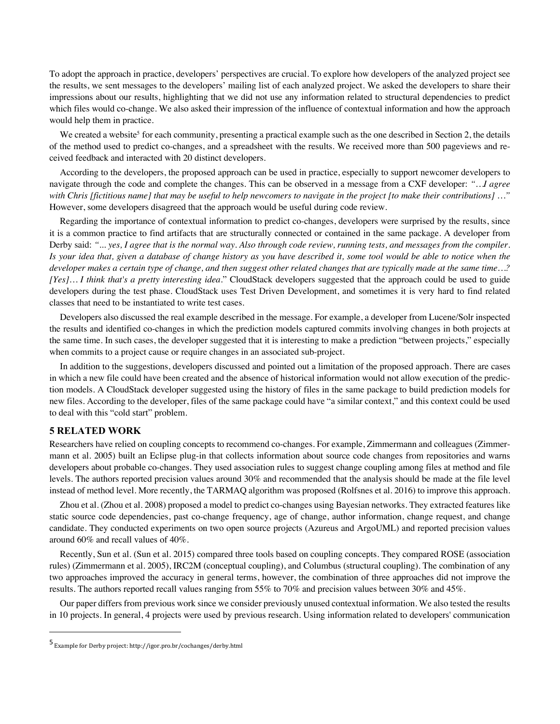To adopt the approach in practice, developers' perspectives are crucial. To explore how developers of the analyzed project see the results, we sent messages to the developers' mailing list of each analyzed project. We asked the developers to share their impressions about our results, highlighting that we did not use any information related to structural dependencies to predict which files would co-change. We also asked their impression of the influence of contextual information and how the approach would help them in practice.

We created a website<sup>5</sup> for each community, presenting a practical example such as the one described in Section 2, the details of the method used to predict co-changes, and a spreadsheet with the results. We received more than 500 pageviews and received feedback and interacted with 20 distinct developers.

According to the developers, the proposed approach can be used in practice, especially to support newcomer developers to navigate through the code and complete the changes. This can be observed in a message from a CXF developer: *"…I agree with Chris [fictitious name] that may be useful to help newcomers to navigate in the project [to make their contributions] …"* However, some developers disagreed that the approach would be useful during code review.

Regarding the importance of contextual information to predict co-changes, developers were surprised by the results, since it is a common practice to find artifacts that are structurally connected or contained in the same package. A developer from Derby said: *"... yes, I agree that is the normal way. Also through code review, running tests, and messages from the compiler. Is your idea that, given a database of change history as you have described it, some tool would be able to notice when the developer makes a certain type of change, and then suggest other related changes that are typically made at the same time…? [Yes]… I think that's a pretty interesting idea.*" CloudStack developers suggested that the approach could be used to guide developers during the test phase. CloudStack uses Test Driven Development, and sometimes it is very hard to find related classes that need to be instantiated to write test cases.

Developers also discussed the real example described in the message. For example, a developer from Lucene/Solr inspected the results and identified co-changes in which the prediction models captured commits involving changes in both projects at the same time. In such cases, the developer suggested that it is interesting to make a prediction "between projects," especially when commits to a project cause or require changes in an associated sub-project.

In addition to the suggestions, developers discussed and pointed out a limitation of the proposed approach. There are cases in which a new file could have been created and the absence of historical information would not allow execution of the prediction models. A CloudStack developer suggested using the history of files in the same package to build prediction models for new files. According to the developer, files of the same package could have "a similar context," and this context could be used to deal with this "cold start" problem.

## **5 RELATED WORK**

Researchers have relied on coupling concepts to recommend co-changes. For example, Zimmermann and colleagues (Zimmermann et al. 2005) built an Eclipse plug-in that collects information about source code changes from repositories and warns developers about probable co-changes. They used association rules to suggest change coupling among files at method and file levels. The authors reported precision values around 30% and recommended that the analysis should be made at the file level instead of method level. More recently, the TARMAQ algorithm was proposed (Rolfsnes et al. 2016) to improve this approach.

Zhou et al. (Zhou et al. 2008) proposed a model to predict co-changes using Bayesian networks. They extracted features like static source code dependencies, past co-change frequency, age of change, author information, change request, and change candidate. They conducted experiments on two open source projects (Azureus and ArgoUML) and reported precision values around 60% and recall values of 40%.

Recently, Sun et al. (Sun et al. 2015) compared three tools based on coupling concepts. They compared ROSE (association rules) (Zimmermann et al. 2005), IRC2M (conceptual coupling), and Columbus (structural coupling). The combination of any two approaches improved the accuracy in general terms, however, the combination of three approaches did not improve the results. The authors reported recall values ranging from 55% to 70% and precision values between 30% and 45%.

Our paper differs from previous work since we consider previously unused contextual information. We also tested the results in 10 projects. In general, 4 projects were used by previous research. Using information related to developers' communication

<sup>5</sup> Example for Derby project: http://igor.pro.br/cochanges/derby.html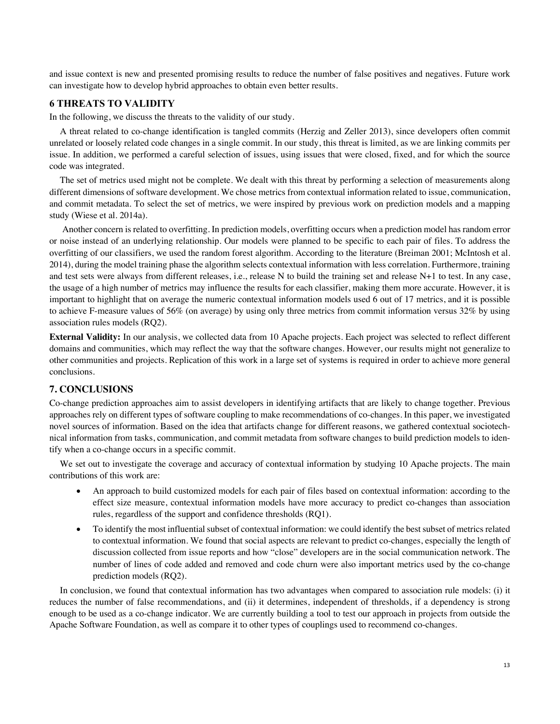and issue context is new and presented promising results to reduce the number of false positives and negatives. Future work can investigate how to develop hybrid approaches to obtain even better results.

#### **6 THREATS TO VALIDITY**

In the following, we discuss the threats to the validity of our study.

A threat related to co-change identification is tangled commits (Herzig and Zeller 2013), since developers often commit unrelated or loosely related code changes in a single commit. In our study, this threat is limited, as we are linking commits per issue. In addition, we performed a careful selection of issues, using issues that were closed, fixed, and for which the source code was integrated.

The set of metrics used might not be complete. We dealt with this threat by performing a selection of measurements along different dimensions of software development. We chose metrics from contextual information related to issue, communication, and commit metadata. To select the set of metrics, we were inspired by previous work on prediction models and a mapping study (Wiese et al. 2014a).

Another concern is related to overfitting. In prediction models, overfitting occurs when a prediction model has random error or noise instead of an underlying relationship. Our models were planned to be specific to each pair of files. To address the overfitting of our classifiers, we used the random forest algorithm. According to the literature (Breiman 2001; McIntosh et al. 2014), during the model training phase the algorithm selects contextual information with less correlation. Furthermore, training and test sets were always from different releases, i.e., release N to build the training set and release N+1 to test. In any case, the usage of a high number of metrics may influence the results for each classifier, making them more accurate. However, it is important to highlight that on average the numeric contextual information models used 6 out of 17 metrics, and it is possible to achieve F-measure values of 56% (on average) by using only three metrics from commit information versus 32% by using association rules models (RQ2).

**External Validity:** In our analysis, we collected data from 10 Apache projects. Each project was selected to reflect different domains and communities, which may reflect the way that the software changes. However, our results might not generalize to other communities and projects. Replication of this work in a large set of systems is required in order to achieve more general conclusions.

## **7. CONCLUSIONS**

Co-change prediction approaches aim to assist developers in identifying artifacts that are likely to change together. Previous approaches rely on different types of software coupling to make recommendations of co-changes. In this paper, we investigated novel sources of information. Based on the idea that artifacts change for different reasons, we gathered contextual sociotechnical information from tasks, communication, and commit metadata from software changes to build prediction models to identify when a co-change occurs in a specific commit.

We set out to investigate the coverage and accuracy of contextual information by studying 10 Apache projects. The main contributions of this work are:

- An approach to build customized models for each pair of files based on contextual information: according to the effect size measure, contextual information models have more accuracy to predict co-changes than association rules, regardless of the support and confidence thresholds (RQ1).
- To identify the most influential subset of contextual information: we could identify the best subset of metrics related to contextual information. We found that social aspects are relevant to predict co-changes, especially the length of discussion collected from issue reports and how "close" developers are in the social communication network. The number of lines of code added and removed and code churn were also important metrics used by the co-change prediction models (RQ2).

In conclusion, we found that contextual information has two advantages when compared to association rule models: (i) it reduces the number of false recommendations, and (ii) it determines, independent of thresholds, if a dependency is strong enough to be used as a co-change indicator. We are currently building a tool to test our approach in projects from outside the Apache Software Foundation, as well as compare it to other types of couplings used to recommend co-changes.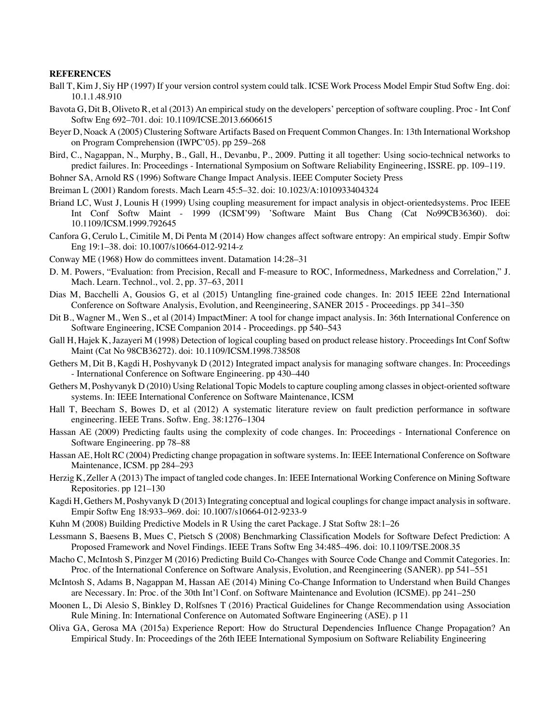#### **REFERENCES**

- Ball T, Kim J, Siy HP (1997) If your version control system could talk. ICSE Work Process Model Empir Stud Softw Eng. doi: 10.1.1.48.910
- Bavota G, Dit B, Oliveto R, et al (2013) An empirical study on the developers' perception of software coupling. Proc Int Conf Softw Eng 692–701. doi: 10.1109/ICSE.2013.6606615
- Beyer D, Noack A (2005) Clustering Software Artifacts Based on Frequent Common Changes. In: 13th International Workshop on Program Comprehension (IWPC'05). pp 259–268
- Bird, C., Nagappan, N., Murphy, B., Gall, H., Devanbu, P., 2009. Putting it all together: Using socio-technical networks to predict failures. In: Proceedings - International Symposium on Software Reliability Engineering, ISSRE. pp. 109–119.
- Bohner SA, Arnold RS (1996) Software Change Impact Analysis. IEEE Computer Society Press
- Breiman L (2001) Random forests. Mach Learn 45:5–32. doi: 10.1023/A:1010933404324
- Briand LC, Wust J, Lounis H (1999) Using coupling measurement for impact analysis in object-orientedsystems. Proc IEEE Int Conf Softw Maint - 1999 (ICSM'99) 'Software Maint Bus Chang (Cat No99CB36360). doi: 10.1109/ICSM.1999.792645
- Canfora G, Cerulo L, Cimitile M, Di Penta M (2014) How changes affect software entropy: An empirical study. Empir Softw Eng 19:1–38. doi: 10.1007/s10664-012-9214-z
- Conway ME (1968) How do committees invent. Datamation 14:28–31
- D. M. Powers, "Evaluation: from Precision, Recall and F-measure to ROC, Informedness, Markedness and Correlation," J. Mach. Learn. Technol., vol. 2, pp. 37–63, 2011
- Dias M, Bacchelli A, Gousios G, et al (2015) Untangling fine-grained code changes. In: 2015 IEEE 22nd International Conference on Software Analysis, Evolution, and Reengineering, SANER 2015 - Proceedings. pp 341–350
- Dit B., Wagner M., Wen S., et al (2014) ImpactMiner: A tool for change impact analysis. In: 36th International Conference on Software Engineering, ICSE Companion 2014 - Proceedings. pp 540–543
- Gall H, Hajek K, Jazayeri M (1998) Detection of logical coupling based on product release history. Proceedings Int Conf Softw Maint (Cat No 98CB36272). doi: 10.1109/ICSM.1998.738508
- Gethers M, Dit B, Kagdi H, Poshyvanyk D (2012) Integrated impact analysis for managing software changes. In: Proceedings - International Conference on Software Engineering. pp 430–440
- Gethers M, Poshyvanyk D (2010) Using Relational Topic Models to capture coupling among classes in object-oriented software systems. In: IEEE International Conference on Software Maintenance, ICSM
- Hall T, Beecham S, Bowes D, et al (2012) A systematic literature review on fault prediction performance in software engineering. IEEE Trans. Softw. Eng. 38:1276–1304
- Hassan AE (2009) Predicting faults using the complexity of code changes. In: Proceedings International Conference on Software Engineering. pp 78–88
- Hassan AE, Holt RC (2004) Predicting change propagation in software systems. In: IEEE International Conference on Software Maintenance, ICSM. pp 284–293
- Herzig K, Zeller A (2013) The impact of tangled code changes. In: IEEE International Working Conference on Mining Software Repositories. pp 121–130
- Kagdi H, Gethers M, Poshyvanyk D (2013) Integrating conceptual and logical couplings for change impact analysis in software. Empir Softw Eng 18:933–969. doi: 10.1007/s10664-012-9233-9
- Kuhn M (2008) Building Predictive Models in R Using the caret Package. J Stat Softw 28:1–26
- Lessmann S, Baesens B, Mues C, Pietsch S (2008) Benchmarking Classification Models for Software Defect Prediction: A Proposed Framework and Novel Findings. IEEE Trans Softw Eng 34:485–496. doi: 10.1109/TSE.2008.35
- Macho C, McIntosh S, Pinzger M (2016) Predicting Build Co-Changes with Source Code Change and Commit Categories. In: Proc. of the International Conference on Software Analysis, Evolution, and Reengineering (SANER). pp 541–551
- McIntosh S, Adams B, Nagappan M, Hassan AE (2014) Mining Co-Change Information to Understand when Build Changes are Necessary. In: Proc. of the 30th Int'l Conf. on Software Maintenance and Evolution (ICSME). pp 241–250
- Moonen L, Di Alesio S, Binkley D, Rolfsnes T (2016) Practical Guidelines for Change Recommendation using Association Rule Mining. In: International Conference on Automated Software Engineering (ASE). p 11
- Oliva GA, Gerosa MA (2015a) Experience Report: How do Structural Dependencies Influence Change Propagation? An Empirical Study. In: Proceedings of the 26th IEEE International Symposium on Software Reliability Engineering